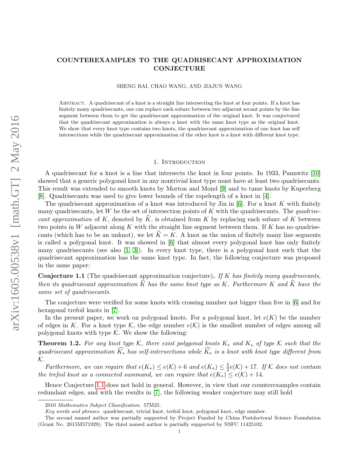# COUNTEREXAMPLES TO THE QUADRISECANT APPROXIMATION CONJECTURE

SHENG BAI, CHAO WANG, AND JIAJUN WANG

Abstract. A quadrisecant of a knot is a straight line intersecting the knot at four points. If a knot has finitely many quadrisecants, one can replace each subarc between two adjacent secant points by the line segment between them to get the quadrisecant approximation of the original knot. It was conjectured that the quadrisecant approximation is always a knot with the same knot type as the original knot. We show that every knot type contains two knots, the quadrisecant approximation of one knot has self intersections while the quadrisecant approximation of the other knot is a knot with different knot type.

### 1. INTRODUCTION

A quadrisecant for a knot is a line that intersects the knot in four points. In 1933, Pannwitz [\[10\]](#page-9-0) showed that a generic polygonal knot in any nontrivial knot type must have at least two quadrisecants. This result was extended to smooth knots by Morton and Mond [\[9\]](#page-9-1) and to tame knots by Kuperberg [\[8\]](#page-9-2). Quadrisecants was used to give lower bounds of the ropelength of a knot in [\[4\]](#page-9-3).

The quadrisecant approximation of a knot was introduced by Jin in  $[6]$ . For a knot K with finitely many quadrisecants, let W be the set of intersection points of K with the quadrisecants. The quadrisecant approximation of K, denoted by  $\tilde{K}$ , is obtained from K by replacing each subarc of K between two points in W adjacent along K with the straight line segment between them. If K has no quadrisecants (which has to be an unknot), we let  $\widehat{K} = K$ . A knot as the union of finitely many line segments is called a polygonal knot. It was showed in [\[6\]](#page-9-4) that almost every polygonal knot has only finitely many quadrisecants (see also [\[1,](#page-8-0) [3\]](#page-9-5)). In every knot type, there is a polygonal knot such that the quadrisecant approximation has the same knot type. In fact, the following conjecture was proposed in the same paper:

<span id="page-0-0"></span>**Conjecture 1.1** (The quadrisecant approximation conjecture). If K has finitely many quadrisecants, then its quadrisecant approximation  $\hat{K}$  has the same knot type as K. Furthermore K and  $\widehat{K}$  have the same set of quadrisecants.

The conjecture were verified for some knots with crossing number not bigger than five in [\[6\]](#page-9-4) and for hexagonal trefoil knots in [\[7\]](#page-9-6).

In the present paper, we work on polygonal knots. For a polygonal knot, let  $e(K)$  be the number of edges in K. For a knot type K, the edge number  $e(\mathcal{K})$  is the smallest number of edges among all polygonal knots with type  $K$ . We show the following:

<span id="page-0-1"></span>**Theorem 1.2.** For any knot type K, there exist polygonal knots  $K_*$  and  $K_{\infty}$  of type K such that the quadrisecant approximation  $\widehat{K_{*}}$  has self-intersections while  $\widehat{K_{\infty}}$  is a knot with knot type different from  $K_{\cdot}$ 

Furthermore, we can require that  $e(K_*) \leq e(\mathcal{K}) + 6$  and  $e(K_0) \leq \frac{5}{2}$  $\frac{5}{2}e(\mathcal{K})+17$ . If  $\mathcal K$  does not contain the trefoil knot as a connected summand, we can require that  $e(K_{\circ}) \leq e(\mathcal{K}) + 14$ .

Hence Conjecture [1.1](#page-0-0) does not hold in general. However, in view that our counterexamples contain redundant edges, and with the results in [\[7\]](#page-9-6), the following weaker conjecture may still hold

<sup>2010</sup> Mathematics Subject Classification. 57M25.

Key words and phrases. quadrisecant, trivial knot, trefoil knot, polygonal knot, edge number.

The second named author was partially supported by Project Funded by China Postdoctoral Science Foundation (Grant No. 2015M571929). The third named author is partially supported by NSFC 11425102.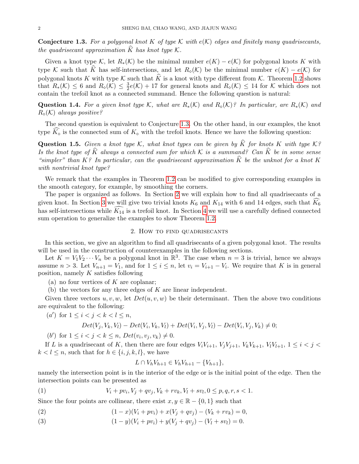<span id="page-1-0"></span>**Conjecture 1.3.** For a polygonal knot K of type K with  $e(K)$  edges and finitely many quadrisecants, the quadrisecant approximation K has knot type  $\mathcal{K}.$ 

Given a knot type K, let  $R_*(\mathcal{K})$  be the minimal number  $e(K) - e(\mathcal{K})$  for polygonal knots K with type K such that K has self-intersections, and let  $R_0(\mathcal{K})$  be the minimal number  $e(K) - e(\mathcal{K})$  for polygonal knots K with type K such that  $\widehat{K}$  is a knot with type different from K. Theorem [1.2](#page-0-1) shows that  $R_*(\mathcal{K}) \leq 6$  and  $R_{\diamond}(\mathcal{K}) \leq \frac{3}{2}$  $\frac{3}{2}e(\mathcal{K}) + 17$  for general knots and  $R_{\diamond}(\mathcal{K}) \leq 14$  for  $\mathcal{K}$  which does not contain the trefoil knot as a connected summand. Hence the following question is natural:

Question 1.4. For a given knot type K, what are  $R_*(\mathcal{K})$  and  $R_*(\mathcal{K})$ ? In particular, are  $R_*(\mathcal{K})$  and  $R_{\diamond}(\mathcal{K})$  always positive?

The second question is equivalent to Conjecture [1.3.](#page-1-0) On the other hand, in our examples, the knot type  $K_{\infty}$  is the connected sum of  $K_{\infty}$  with the trefoil knots. Hence we have the following question:

**Question 1.5.** Given a knot type K, what knot types can be given by  $\widehat{K}$  for knots K with type K? Is the knot type of  $\widehat{K}$  always a connected sum for which K is a summand? Can  $\widehat{K}$  be in some sense "simpler" than K? In particular, can the quadrisecant approximation  $\hat{K}$  be the unknot for a knot K with nontrivial knot type?

We remark that the examples in Theorem [1.2](#page-0-1) can be modified to give corresponding examples in the smooth category, for example, by smoothing the corners.

The paper is organized as follows. In Section [2](#page-1-1) we will explain how to find all quadrisecants of a given knot. In Section [3](#page-2-0) we will give two trivial knots  $K_6$  and  $K_{14}$  with 6 and 14 edges, such that  $K_6$ has self-intersections while  $K_{14}$  is a trefoil knot. In Section [4](#page-5-0) we will use a carefully defined connected sum operation to generalize the examples to show Theorem [1.2.](#page-0-1)

## 2. How to find quadrisecants

<span id="page-1-1"></span>In this section, we give an algorithm to find all quadrisecants of a given polygonal knot. The results will be used in the construction of counterexamples in the following sections.

Let  $K = V_1 V_2 \cdots V_n$  be a polygonal knot in  $\mathbb{R}^3$ . The case when  $n = 3$  is trivial, hence we always assume  $n > 3$ . Let  $V_{n+1} = V_1$ , and for  $1 \le i \le n$ , let  $v_i = V_{i+1} - V_i$ . We require that K is in general position, namely  $K$  satisfies following

(a) no four vertices of  $K$  are coplanar;

(b) the vectors for any three edges of K are linear independent.

Given three vectors  $u, v, w$ , let  $Det(u, v, w)$  be their determinant. Then the above two conditions are equivalent to the following:

$$
(a')\ \text{for}\ 1\leq i
$$

$$
Det(V_j, V_k, V_l) - Det(V_i, V_k, V_l) + Det(V_i, V_j, V_l) - Det(V_i, V_j, V_k) \neq 0;
$$

(b') for  $1 \le i < j < k \le n$ ,  $Det(v_i, v_j, v_k) \ne 0$ .

If L is a quadrisecant of K, then there are four edges  $V_iV_{i+1}$ ,  $V_jV_{j+1}$ ,  $V_kV_{k+1}$ ,  $V_lV_{l+1}$ ,  $1 \leq i < j <$  $k < l \leq n$ , such that for  $h \in \{i, j, k, l\}$ , we have

$$
L \cap V_h V_{h+1} \in V_h V_{h+1} - \{V_{h+1}\},\
$$

namely the intersection point is in the interior of the edge or is the initial point of the edge. Then the intersection points can be presented as

(1)  $V_i + pv_i, V_j + qv_j, V_k + rv_k, V_l + sv_l, 0 \leq p, q, r, s < 1.$ 

Since the four points are collinear, there exist  $x, y \in \mathbb{R} - \{0, 1\}$  such that

- (2)  $(1 x)(V_i + pv_i) + x(V_i + qv_i) (V_k + rv_k) = 0,$
- (3)  $(1 y)(V_i + pv_i) + y(V_i + qv_i) (V_l + sv_l) = 0.$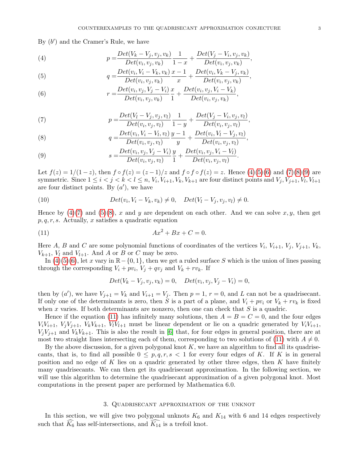By  $(b')$  and the Cramer's Rule, we have

<span id="page-2-1"></span>(4) 
$$
p = \frac{Det(V_k - V_j, v_j, v_k)}{Det(v_i, v_j, v_k)} \frac{1}{1 - x} + \frac{Det(V_j - V_i, v_j, v_k)}{Det(v_i, v_j, v_k)},
$$

<span id="page-2-2"></span>(5) 
$$
q = \frac{Det(v_i, V_i - V_k, v_k)}{Det(v_i, v_j, v_k)} \frac{x-1}{x} + \frac{Det(v_i, V_k - V_j, v_k)}{Det(v_i, v_j, v_k)},
$$

<span id="page-2-3"></span>(6) 
$$
r = \frac{Det(v_i, v_j, V_j - V_i)}{Det(v_i, v_j, v_k)} \frac{x}{1} + \frac{Det(v_i, v_j, V_i - V_k)}{Det(v_i, v_j, v_k)},
$$

<span id="page-2-4"></span>(7) 
$$
p = \frac{Det(V_l - V_j, v_j, v_l)}{Det(v_i, v_j, v_l)} \frac{1}{1 - y} + \frac{Det(V_j - V_i, v_j, v_l)}{Det(v_i, v_j, v_l)},
$$

<span id="page-2-5"></span>(8) 
$$
q = \frac{Det(v_i, V_i - V_l, v_l)}{Det(v_i, v_j, v_l)} \frac{y - 1}{y} + \frac{Det(v_i, V_l - V_j, v_l)}{Det(v_i, v_j, v_l)},
$$

<span id="page-2-6"></span>(9) 
$$
s = \frac{Det(v_i, v_j, V_j - V_i)}{Det(v_i, v_j, v_l)} \frac{y}{1} + \frac{Det(v_i, v_j, V_i - V_l)}{Det(v_i, v_j, v_l)}.
$$

Let  $f(z) = 1/(1-z)$ , then  $f \circ f(z) = (z-1)/z$  and  $f \circ f \circ f(z) = z$ . Hence  $(4)(5)(6)$  $(4)(5)(6)$  $(4)(5)(6)$  and  $(7)(8)(9)$  $(7)(8)(9)$  $(7)(8)(9)$  are symmetric. Since  $1 \le i < j < k < l \le n$ ,  $V_i$ ,  $V_{i+1}$ ,  $V_k$ ,  $V_{k+1}$  are four distinct points and  $V_j$ ,  $V_{j+1}$ ,  $V_l$ ,  $V_{l+1}$ are four distinct points. By  $(a')$ , we have

(10) 
$$
Det(v_i, V_i - V_k, v_k) \neq 0, \quad Det(V_l - V_j, v_j, v_l) \neq 0.
$$

Hence by  $(4)(7)$  $(4)(7)$  and  $(5)(8)$  $(5)(8)$ , x and y are dependent on each other. And we can solve x, y, then get  $p, q, r, s$ . Actually, x satisfies a quadratic equation

<span id="page-2-7"></span>
$$
(11) \qquad \qquad Ax^2 + Bx + C = 0.
$$

Here A, B and C are some polynomial functions of coordinates of the vertices  $V_i$ ,  $V_{i+1}$ ,  $V_j$ ,  $V_{j+1}$ ,  $V_k$ ,  $V_{k+1}$ ,  $V_l$  and  $V_{l+1}$ . And A or B or C may be zero.

In  $(4)(5)(6)$  $(4)(5)(6)$  $(4)(5)(6)$ , let x vary in  $\mathbb{R}-\{0,1\}$ , then we get a ruled surface S which is the union of lines passing through the corresponding  $V_i + pv_i$ ,  $V_j + qv_j$  and  $V_k + rv_k$ . If

$$
Det(V_k - V_j, v_j, v_k) = 0, Det(v_i, v_j, V_j - V_i) = 0,
$$

then by  $(a')$ , we have  $V_{j+1} = V_k$  and  $V_{i+1} = V_j$ . Then  $p = 1, r = 0$ , and L can not be a quadrisecant. If only one of the determinants is zero, then S is a part of a plane, and  $V_i + pv_i$  or  $V_k + rv_k$  is fixed when x varies. If both determinants are nonzero, then one can check that  $S$  is a quadric.

Hence if the equation [\(11\)](#page-2-7) has infinitely many solutions, then  $A = B = C = 0$ , and the four edges  $V_iV_{i+1}, V_jV_{j+1}, V_kV_{k+1}, V_lV_{l+1}$  must be linear dependent or lie on a quadric generated by  $V_iV_{i+1}$ ,  $V_iV_{i+1}$  and  $V_kV_{k+1}$ . This is also the result in [\[6\]](#page-9-4) that, for four edges in general position, there are at most two straight lines intersecting each of them, corresponding to two solutions of [\(11\)](#page-2-7) with  $A \neq 0$ .

By the above discussion, for a given polygonal knot  $K$ , we have an algorithm to find all its quadrisecants, that is, to find all possible  $0 \leq p, q, r, s < 1$  for every four edges of K. If K is in general position and no edge of K lies on a quadric generated by other three edges, then K have finitely many quadrisecants. We can then get its quadrisecant approximation. In the following section, we will use this algorithm to determine the quadrisecant approximation of a given polygonal knot. Most computations in the present paper are performed by Mathematica 6.0.

# 3. Quadrisecant approximation of the unknot

<span id="page-2-0"></span>In this section, we will give two polygonal unknots  $K_6$  and  $K_{14}$  with 6 and 14 edges respectively such that  $K_6$  has self-intersections, and  $K_{14}$  is a trefoil knot.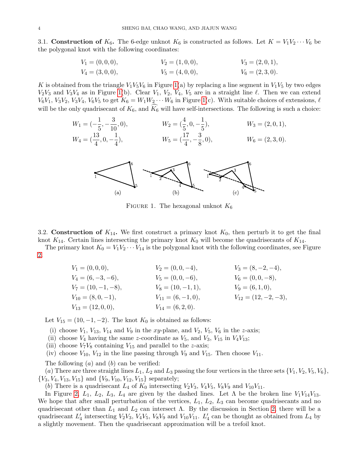3.1. Construction of  $K_6$ . The 6-edge unknot  $K_6$  is constructed as follows. Let  $K = V_1V_2\cdots V_6$  be the polygonal knot with the following coordinates:

$$
V_1 = (0,0,0), \t V_2 = (1,0,0), \t V_3 = (2,0,1), V_4 = (3,0,0), \t V_5 = (4,0,0), \t V_6 = (2,3,0).
$$

K is obtained from the triangle  $V_1V_5V_6$  in Figure [1\(](#page-3-0)a) by replacing a line segment in  $V_1V_5$  by two edges  $V_2V_3$  and  $V_3V_4$  as in Figure [1\(](#page-3-0)b). Clear  $V_1$ ,  $V_2$ ,  $V_4$ ,  $V_5$  are in a straight line  $\ell$ . Then we can extend  $V_6V_1$ ,  $V_3V_2$ ,  $V_3V_4$ ,  $V_6V_5$  to get  $K_6 = W_1W_2 \cdots W_6$  in Figure [1\(](#page-3-0)c). With suitable choices of extensions,  $\ell$ will be the only quadrisecant of  $K_6$ , and  $K_6$  will have self-intersections. The following is such a choice:

$$
W_1 = (-\frac{1}{5}, -\frac{3}{10}, 0), \qquad W_2 = (\frac{4}{5}, 0, -\frac{1}{5}), \qquad W_3 = (2, 0, 1),
$$
  
\n
$$
W_4 = (\frac{13}{4}, 0, -\frac{1}{4}), \qquad W_5 = (\frac{17}{4}, -\frac{3}{8}, 0), \qquad W_6 = (2, 3, 0).
$$

<span id="page-3-0"></span>

FIGURE 1. The hexagonal unknot  $K_6$ 

3.2. Construction of  $K_{14}$ . We first construct a primary knot  $K_0$ , then perturb it to get the final knot  $K_{14}$ . Certain lines intersecting the primary knot  $K_0$  will become the quadrisecants of  $K_{14}$ .

The primary knot  $K_0 = V_1 V_2 \cdots V_{14}$  is the polygonal knot with the following coordinates, see Figure [2.](#page-4-0)

| $V_1 = (0,0,0),$       | $V_2 = (0,0,-4),$      | $V_3 = (8, -2, -4),$     |
|------------------------|------------------------|--------------------------|
| $V_4 = (6, -3, -6),$   | $V_5 = (0,0,-6),$      | $V_6 = (0, 0, -8),$      |
| $V_7 = (10, -1, -8),$  | $V_8 = (10, -1, 1),$   | $V_9 = (6,1,0),$         |
| $V_{10} = (8, 0, -1),$ | $V_{11} = (6, -1, 0),$ | $V_{12} = (12, -2, -3),$ |
| $V_{13} = (12,0,0),$   | $V_{14}=(6,2,0).$      |                          |

Let  $V_{15} = (10, -1, -2)$ . The knot  $K_0$  is obtained as follows:

- (i) choose  $V_1$ ,  $V_{13}$ ,  $V_{14}$  and  $V_9$  in the xy-plane, and  $V_2$ ,  $V_5$ ,  $V_6$  in the z-axis;
- (ii) choose  $V_4$  having the same z-coordinate as  $V_5$ , and  $V_3$ ,  $V_{15}$  in  $V_4V_{13}$ ;
- (iii) choose  $V_7V_8$  containing  $V_{15}$  and parallel to the *z*-axis;
- (iv) choose  $V_{10}$ ,  $V_{12}$  in the line passing through  $V_9$  and  $V_{15}$ . Then choose  $V_{11}$ .

The following  $(a)$  and  $(b)$  can be verified:

(a) There are three straight lines  $L_1, L_2$  and  $L_3$  passing the four vertices in the three sets  $\{V_1, V_2, V_5, V_6\}$ ,  ${V_3, V_4, V_{13}, V_{15}}$  and  ${V_9, V_{10}, V_{12}, V_{15}}$  separately;

(b) There is a quadrisecant  $L_4$  of  $K_0$  intersecting  $V_2V_3$ ,  $V_4V_5$ ,  $V_8V_9$  and  $V_{10}V_{11}$ .

In Figure [2,](#page-4-0)  $L_1$ ,  $L_2$ ,  $L_3$ ,  $L_4$  are given by the dashed lines. Let  $\Lambda$  be the broken line  $V_1V_{14}V_{13}$ . We hope that after small perturbation of the vertices,  $L_1$ ,  $L_2$ ,  $L_3$  can become quadrisecants and no quadrisecant other than  $L_1$  and  $L_2$  can intersect  $\Lambda$ . By the discussion in Section [2,](#page-1-1) there will be a quadrisecant  $L'_4$  intersecting  $V_2V_3$ ,  $V_4V_5$ ,  $V_8V_9$  and  $V_{10}V_{11}$ .  $L'_4$  can be thought as obtained from  $L_4$  by a slightly movement. Then the quadrisecant approximation will be a trefoil knot.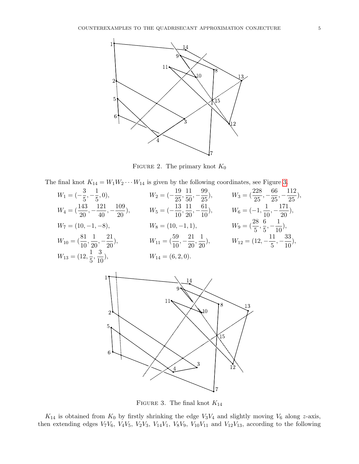<span id="page-4-0"></span>

FIGURE 2. The primary knot  $K_0$ 

The final knot  $K_{14} = W_1 W_2 \cdots W_{14}$  is given by the following coordinates, see Figure [3.](#page-4-1)

<span id="page-4-1"></span>

FIGURE 3. The final knot  $K_{14}$ 

 $K_{14}$  is obtained from  $K_0$  by firstly shrinking the edge  $V_3V_4$  and slightly moving  $V_6$  along z-axis, then extending edges  $V_7V_6$ ,  $V_4V_5$ ,  $V_2V_3$ ,  $V_{14}V_1$ ,  $V_8V_9$ ,  $V_{10}V_{11}$  and  $V_{12}V_{13}$ , according to the following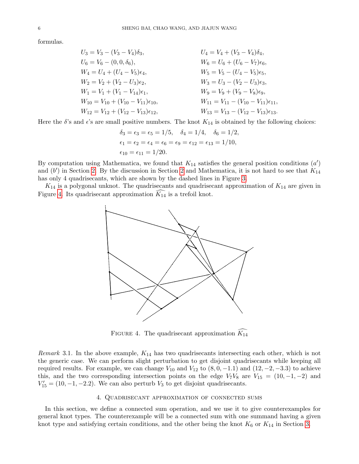formulas.

| $U_3 = V_3 - (V_3 - V_4)\delta_3,$                  | $U_4 = V_4 + (V_3 - V_4)\delta_4,$                  |
|-----------------------------------------------------|-----------------------------------------------------|
| $U_6 = V_6 - (0, 0, \delta_6),$                     | $W_6 = U_6 + (U_6 - V_7)\epsilon_6,$                |
| $W_4 = U_4 + (U_4 - V_5)\epsilon_4,$                | $W_5 = V_5 - (U_4 - V_5)\epsilon_5,$                |
| $W_2 = V_2 + (V_2 - U_3)\epsilon_2,$                | $W_3 = U_3 - (V_2 - U_3)\epsilon_3,$                |
| $W_1 = V_1 + (V_1 - V_{14})\epsilon_1,$             | $W_9 = V_9 + (V_9 - V_8)\epsilon_9,$                |
| $W_{10} = V_{10} + (V_{10} - V_{11})\epsilon_{10},$ | $W_{11} = V_{11} - (V_{10} - V_{11})\epsilon_{11},$ |
| $W_{12} = V_{12} + (V_{12} - V_{13})\epsilon_{12},$ | $W_{13} = V_{13} - (V_{12} - V_{13})\epsilon_{13}.$ |

Here the  $\delta$ 's and  $\epsilon$ 's are small positive numbers. The knot  $K_{14}$  is obtained by the following choices:

$$
\delta_3 = \epsilon_3 = \epsilon_5 = 1/5
$$
,  $\delta_4 = 1/4$ ,  $\delta_6 = 1/2$ ,  
\n $\epsilon_1 = \epsilon_2 = \epsilon_4 = \epsilon_6 = \epsilon_9 = \epsilon_{12} = \epsilon_{13} = 1/10$ ,  
\n $\epsilon_{10} = \epsilon_{11} = 1/20$ .

By computation using Mathematica, we found that  $K_{14}$  satisfies the general position conditions  $(a')$ and  $(b')$  in Section [2.](#page-1-1) By the discussion in Section [2](#page-1-1) and Mathematica, it is not hard to see that  $K_{14}$ has only 4 quadrisecants, which are shown by the dashed lines in Figure [3.](#page-4-1)

<span id="page-5-1"></span> $K_{14}$  is a polygonal unknot. The quadrisecants and quadrisecant approximation of  $K_{14}$  are given in Figure [4.](#page-5-1) Its quadrisecant approximation  $K_{14}$  is a trefoil knot.



FIGURE 4. The quadrisecant approximation  $K_{14}$ 

*Remark* 3.1. In the above example,  $K_{14}$  has two quadrisecants intersecting each other, which is not the generic case. We can perform slight perturbation to get disjoint quadrisecants while keeping all required results. For example, we can change  $V_{10}$  and  $V_{12}$  to  $(8, 0, -1.1)$  and  $(12, -2, -3.3)$  to achieve this, and the two corresponding intersection points on the edge  $V_7V_8$  are  $V_{15} = (10, -1, -2)$  and  $V'_{15} = (10, -1, -2.2)$ . We can also perturb  $V_3$  to get disjoint quadrisecants.

## 4. Quadrisecant approximation of connected sums

<span id="page-5-0"></span>In this section, we define a connected sum operation, and we use it to give counterexamples for general knot types. The counterexample will be a connected sum with one summand having a given knot type and satisfying certain conditions, and the other being the knot  $K_6$  or  $K_{14}$  in Section [3.](#page-2-0)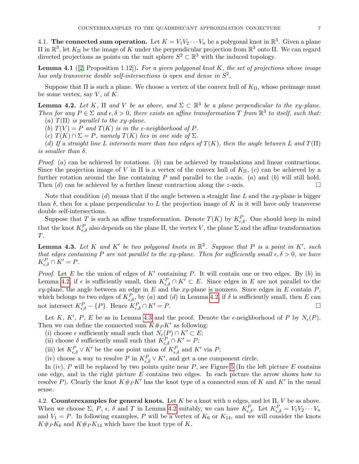4.1. The connected sum operation. Let  $K = V_1 V_2 \cdots V_n$  be a polygonal knot in  $\mathbb{R}^3$ . Given a plane  $\Pi$  in  $\mathbb{R}^3$ , let  $K_{\Pi}$  be the image of K under the perpendicular projection from  $\mathbb{R}^3$  onto  $\Pi$ . We can regard directed projections as points on the unit sphere  $S^2 \subset \mathbb{R}^3$  with the induced topology.

**Lemma 4.1** ([\[2,](#page-8-1) Proposition 1.12]). For a given polygonal knot K, the set of projections whose image has only transverse double self-intersections is open and dense in  $S^2$ .

Suppose that  $\Pi$  is such a plane. We choose a vertex of the convex hull of  $K_{\Pi}$ , whose preimage must be some vertex, say  $V$ , of  $K$ .

<span id="page-6-0"></span>**Lemma 4.2.** Let K,  $\Pi$  and V be as above, and  $\Sigma \subset \mathbb{R}^3$  be a plane perpendicular to the xy-plane. Then for any  $P \in \Sigma$  and  $\epsilon, \delta > 0$ , there exists an affine transformation T from  $\mathbb{R}^3$  to itself, such that: (a)  $T(\Pi)$  is parallel to the xy-plane.

(b)  $T(V) = P$  and  $T(K)$  is in the e-neighborhood of P.

(c)  $T(K) \cap \Sigma = P$ , namely  $T(K)$  lies in one side of  $\Sigma$ .

(d) If a straight line L intersects more than two edges of  $T(K)$ , then the angle between L and  $T(\Pi)$ is smaller than  $\delta$ .

*Proof.* (a) can be achieved by rotations. (b) can be achieved by translations and linear contractions. Since the projection image of V in  $\Pi$  is a vertex of the convex hull of  $K_{\Pi}$ , (c) can be achieved by a further rotation around the line containing P and parallel to the z-axis. (a) and (b) will still hold. Then  $(d)$  can be achieved by a further linear contraction along the *z*-axis.

Note that condition  $(d)$  means that if the angle between a straight line L and the xy-plane is bigger than  $\delta$ , then for a plane perpendicular to L the projection image of K in it will have only transverse double self-intersections.

Suppose that T is such an affine transformation. Denote  $T(K)$  by  $K_{\epsilon,\delta}^P$ . One should keep in mind that the knot  $K_{\epsilon,\delta}^P$  also depends on the plane  $\Pi$ , the vertex V, the plane  $\Sigma$  and the affine transformation T.

<span id="page-6-1"></span>**Lemma 4.3.** Let K and K' be two polygonal knots in  $\mathbb{R}^3$ . Suppose that P is a point in K', such that edges containing P are not parallel to the xy-plane. Then for sufficiently small  $\epsilon, \delta > 0$ , we have  $K_{\epsilon,\delta}^P \cap K' = P.$ 

*Proof.* Let E be the union of edges of  $K'$  containing P. It will contain one or two edges. By (b) in Lemma [4.2,](#page-6-0) if  $\epsilon$  is sufficiently small, then  $K_{\epsilon,\delta}^P \cap K' \subset E$ . Since edges in E are not parallel to the xy-plane, the angle between an edge in  $E$  and the xy-plane is nonzero. Since edges in  $E$  contain  $P$ , which belongs to two edges of  $K_{\epsilon,\delta}^P$ , by (a) and (d) in Lemma [4.2,](#page-6-0) if  $\delta$  is sufficiently small, then E can not intersect  $K_{\epsilon,\delta}^P - \{P\}$ . Hence  $K_{\epsilon,\delta}^P \cap K' = P$ .

Let K, K', P, E be as in Lemma [4.3](#page-6-1) and the proof. Denote the  $\epsilon$ -neighborhood of P by  $N_{\epsilon}(P)$ . Then we can define the connected sum  $K#_{P} K'$  as following:

(i) choose  $\epsilon$  sufficiently small such that  $N_{\epsilon}(P) \cap K' \subset E$ ;

(ii) choose  $\delta$  sufficiently small such that  $K_{\epsilon,\delta}^P \cap K' = P$ ;

(iii) let  $K_{\epsilon,\delta}^P \vee K'$  be the one point union of  $K_{\epsilon,\delta}^P$  and  $K'$  via P;

(iv) choose a way to resolve P in  $K_{\epsilon,\delta}^P \vee K'$ , and get a one component circle.

In (iv),  $P$  will be replaced by two points quite near  $P$ , see Figure [5](#page-7-0) (In the left picture  $E$  contains one edge, and in the right picture  $E$  contains two edges. In each picture the arrow shows how to resolve P). Clearly the knot  $K#_{P}K'$  has the knot type of a connected sum of K and K' in the usual sense.

4.2. Counterexamples for general knots. Let K be a knot with n edges, and let  $\Pi$ , V be as above. When we choose  $\Sigma$ ,  $P$ ,  $\epsilon$ ,  $\delta$  and  $T$  in Lemma [4.2](#page-6-0) suitably, we can have  $K_{\epsilon,\delta}^P$ . Let  $K_{\epsilon,\delta}^P = V_1V_2 \cdots V_n$ and  $V_1 = P$ . In following examples, P will be a vertex of  $K_6$  or  $K_{14}$ , and we will consider the knots  $K#_P K_6$  and  $K#_P K_{14}$  which have the knot type of K.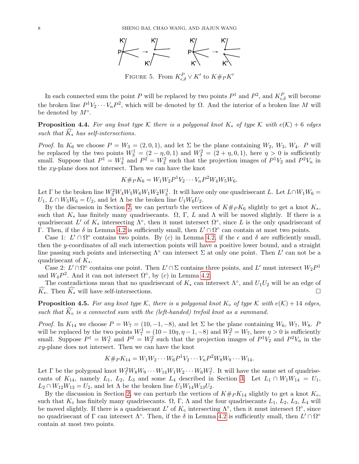

FIGURE 5. From  $K_{\epsilon,\delta}^P \vee K'$  to  $K \#_{P} K'$ 

<span id="page-7-0"></span>In each connected sum the point P will be replaced by two points  $P^1$  and  $P^2$ , and  $K_{\epsilon,\delta}^P$  will become the broken line  $P^1V_2\cdots V_nP^2$ , which will be denoted by  $\Omega$ . And the interior of a broken line M will be denoted by  $M^\circ$ .

<span id="page-7-2"></span>**Proposition 4.4.** For any knot type K there is a polygonal knot  $K_*$  of type K with  $e(K) + 6$  edges such that  $\widehat{K}_*$  has self-intersections.

*Proof.* In  $K_6$  we choose  $P = W_3 = (2, 0, 1)$ , and let  $\Sigma$  be the plane containing  $W_2, W_3, W_4$ . P will be replaced by the two points  $W_3^1 = (2 - \eta, 0, 1)$  and  $W_3^2 = (2 + \eta, 0, 1)$ , here  $\eta > 0$  is sufficiently small. Suppose that  $P^1 = W_3^1$  and  $P^2 = W_3^2$  such that the projection images of  $P^1V_2$  and  $P^2V_n$  in the  $xy$ -plane does not intersect. Then we can have the knot

$$
K \#_P K_6 = W_1 W_2 P^1 V_2 \cdots V_n P^2 W_4 W_5 W_6.
$$

Let  $\Gamma$  be the broken line  $W_3^2W_4W_5W_6W_1W_2W_3^1$ . It will have only one quadrisecant L. Let  $L \cap W_1W_6 =$  $U_1, L \cap W_5W_6 = U_2$ , and let  $\Lambda$  be the broken line  $U_1W_6U_2$ .

By the discussion in Section [2,](#page-1-1) we can perturb the vertices of  $K# pK_6$  slightly to get a knot  $K_*,$ such that  $K_*$  has finitely many quadrisecants.  $\Omega$ ,  $\Gamma$ , L and  $\Lambda$  will be moved slightly. If there is a quadrisecant L' of  $K_*$  intersecting  $\Lambda^{\circ}$ , then it must intersect  $\Omega^{\circ}$ , since L is the only quadrisecant of Γ. Then, if the δ in Lemma [4.2](#page-6-0) is sufficiently small, then  $L' \cap \Omega^{\circ}$  can contain at most two points.

Case 1:  $L' \cap \Omega^{\circ}$  contains two points. By (c) in Lemma [4.2,](#page-6-0) if the  $\epsilon$  and  $\delta$  are sufficiently small, then the y-coordinates of all such intersection points will have a positive lower bound, and a straight line passing such points and intersecting  $\Lambda^{\circ}$  can intersect  $\Sigma$  at only one point. Then L' can not be a quadrisecant of  $K_{*}$ .

Case 2:  $L' \cap \Omega^{\circ}$  contains one point. Then  $L' \cap \Sigma$  contains three points, and  $L'$  must intersect  $W_2P^1$ and  $W_4P^2$ . And it can not intersect  $\Omega^{\circ}$ , by (c) in Lemma [4.2.](#page-6-0)

The contradictions mean that no quadrisecant of  $K_*$  can intersect  $\Lambda^{\circ}$ , and  $U_1U_2$  will be an edge of  $\widehat{K_*}$ . Then  $\widehat{K_*}$  will have self-intersections.

<span id="page-7-1"></span>**Proposition 4.5.** For any knot type K, there is a polygonal knot  $K_{\infty}$  of type K with  $e(K) + 14$  edges, such that  $K_{\infty}$  is a connected sum with the (left-handed) trefoil knot as a summand.

*Proof.* In  $K_{14}$  we choose  $P = W_7 = (10, -1, -8)$ , and let  $\Sigma$  be the plane containing  $W_6, W_7, W_8$ . P will be replaced by the two points  $W_7^1 = (10 - 10\eta, \eta - 1, -8)$  and  $W_7^2 = W_7$ , here  $\eta > 0$  is sufficiently small. Suppose  $P^1 = W_7^1$  and  $P^2 = W_7^2$  such that the projection images of  $P^1V_2$  and  $P^2V_n$  in the  $xy$ -plane does not intersect. Then we can have the knot

$$
K \#_P K_{14} = W_1 W_2 \cdots W_6 P^1 V_2 \cdots V_n P^2 W_8 W_9 \cdots W_{14}.
$$

Let  $\Gamma$  be the polygonal knot  $W_7^2W_8W_9\cdots W_{14}W_1W_2\cdots W_6W_7^1$ . It will have the same set of quadrisecants of  $K_{14}$ , namely  $L_1$ ,  $L_2$ ,  $L_3$  and some  $L_4$  described in Section [3.](#page-2-0) Let  $L_1 \cap W_1W_{14} = U_1$ ,  $L_2 \cap W_{12}W_{13} = U_2$ , and let  $\Lambda$  be the broken line  $U_1W_{14}W_{13}U_2$ .

By the discussion in Section [2,](#page-1-1) we can perturb the vertices of  $K#_P K_{14}$  slightly to get a knot  $K_{\diamond}$ , such that  $K_{\delta}$  has finitely many quadrisecants.  $\Omega$ , Γ, Λ and the four quadrisecants  $L_1$ ,  $L_2$ ,  $L_3$ ,  $L_4$  will be moved slightly. If there is a quadrisecant L' of  $K_{\circ}$  intersecting  $\Lambda^{\circ}$ , then it must intersect  $\Omega^{\circ}$ , since no quadrisecant of  $\Gamma$  can intersect  $\Lambda^{\circ}$ . Then, if the  $\delta$  in Lemma [4.2](#page-6-0) is sufficiently small, then  $L' \cap \Omega^{\circ}$ contain at most two points.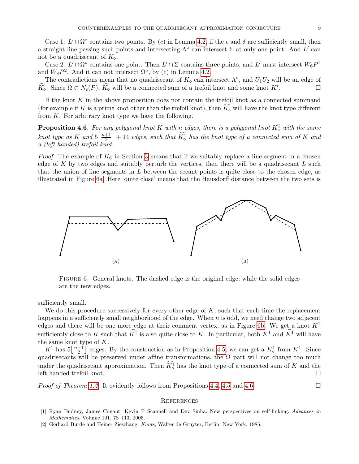Case 1:  $L' \cap \Omega^{\circ}$  contains two points. By (c) in Lemma [4.2,](#page-6-0) if the  $\epsilon$  and  $\delta$  are sufficiently small, then a straight line passing such points and intersecting  $\Lambda^{\circ}$  can intersect  $\Sigma$  at only one point. And L' can not be a quadrisecant of  $K_{\infty}$ .

Case 2:  $L' \cap \Omega^{\circ}$  contains one point. Then  $L' \cap \Sigma$  contains three points, and  $L'$  must intersect  $W_6 P^1$ and  $W_8P^2$ . And it can not intersect  $\Omega^{\circ}$ , by (c) in Lemma [4.2.](#page-6-0)

The contradictions mean that no quadrisecant of  $K_{\infty}$  can intersect  $\Lambda^{\circ}$ , and  $U_1U_2$  will be an edge of  $\widehat{K_{\infty}}$ . Since  $\Omega \subset N_{\epsilon}(P)$ ,  $\widehat{K_{\infty}}$  will be a connected sum of a trefoil knot and some knot K'. . — П

If the knot  $K$  in the above proposition does not contain the trefoil knot as a connected summand (for example if K is a prime knot other than the trefoil knot), then  $K_{\infty}$  will have the knot type different from  $K$ . For arbitrary knot type we have the following.

<span id="page-8-4"></span>**Proposition 4.6.** For any polygonal knot K with n edges, there is a polygonal knot  $K^1_\diamond$  with the same knot type as K and  $5\frac{n+1}{2}$  $\left. \frac{+1}{2} \right] + 14$  edges, such that  $K^1_{\diamond}$  has the knot type of a connected sum of K and a (left-handed) trefoil knot.

*Proof.* The example of  $K_6$  in Section [3](#page-2-0) means that if we suitably replace a line segment in a chosen edge of  $K$  by two edges and suitably perturb the vertices, then there will be a quadrisecant  $L$  such that the union of line segments in L between the secant points is quite close to the chosen edge, as illustrated in Figure [6a.](#page-8-2) Here 'quite close' means that the Hausdorff distance between the two sets is

<span id="page-8-2"></span>

<span id="page-8-3"></span>Figure 6. General knots. The dashed edge is the original edge, while the solid edges are the new edges.

sufficiently small.

We do this procedure successively for every other edge of  $K$ , such that each time the replacement happens in a sufficiently small neighborhood of the edge. When  $n$  is odd, we need change two adjacent edges and there will be one more edge at their comment vertex, as in Figure [6b.](#page-8-3) We get a knot  $K^1$ sufficiently close to K such that  $\widehat{K}^1$  is also quite close to K. In particular, both  $K^1$  and  $\widehat{K}^1$  will have the same knot type of  $K$ .

 $K^1$  has  $5\left\lfloor\frac{n+1}{2}\right\rfloor$  $\frac{+1}{2}$  edges. By the construction as in Proposition [4.5,](#page-7-1) we can get a  $K^1_{\diamond}$  from  $K^1$ . Since quadrisecants will be preserved under affine transformations, the  $\Omega$  part will not change too much under the quadrisecant approximation. Then  $K^1_\circ$  has the knot type of a connected sum of K and the left-handed trefoil knot.  $\Box$ 

*Proof of Theorem [1.2.](#page-0-1)* It evidently follows from Propositions [4.4,](#page-7-2) [4.5](#page-7-1) and [4.6.](#page-8-4)

#### **REFERENCES**

- <span id="page-8-0"></span>[1] Ryan Budney, James Conant, Kevin P Scannell and Dev Sinha. New perspectives on self-linking. Advances in Mathematics, Volume 191, 78–113, 2005.
- <span id="page-8-1"></span>[2] Gerhard Burde and Heiner Zieschang. Knots, Walter de Gruyter, Berlin, New York, 1985.